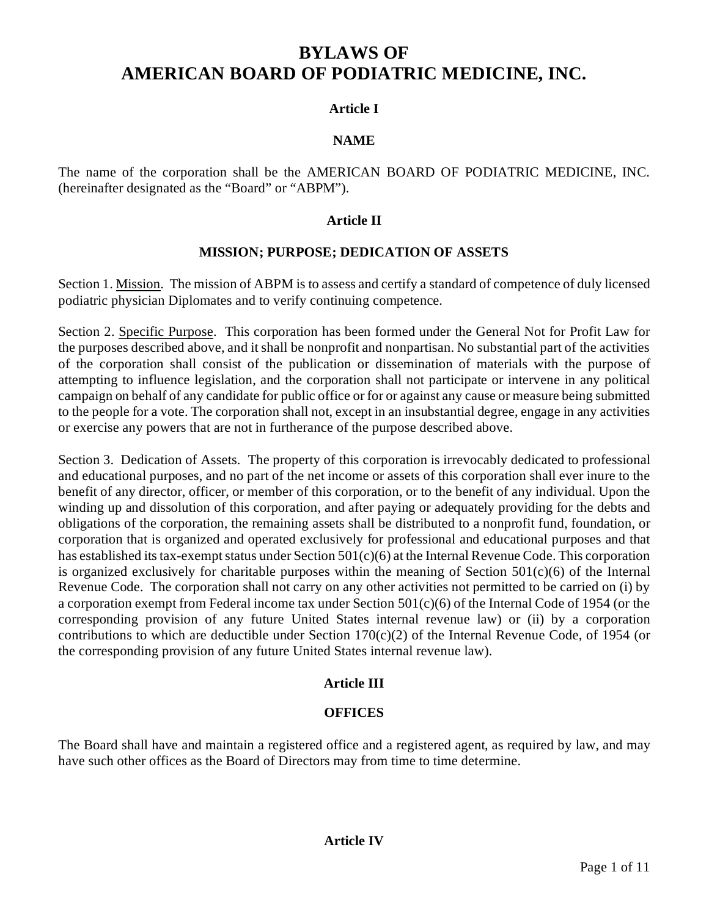# **BYLAWS OF AMERICAN BOARD OF PODIATRIC MEDICINE, INC.**

# **Article I**

# **NAME**

The name of the corporation shall be the AMERICAN BOARD OF PODIATRIC MEDICINE, INC. (hereinafter designated as the "Board" or "ABPM").

### **Article II**

### **MISSION; PURPOSE; DEDICATION OF ASSETS**

Section 1. Mission. The mission of ABPM is to assess and certify a standard of competence of duly licensed podiatric physician Diplomates and to verify continuing competence.

Section 2. Specific Purpose. This corporation has been formed under the General Not for Profit Law for the purposes described above, and it shall be nonprofit and nonpartisan. No substantial part of the activities of the corporation shall consist of the publication or dissemination of materials with the purpose of attempting to influence legislation, and the corporation shall not participate or intervene in any political campaign on behalf of any candidate for public office or for or against any cause or measure being submitted to the people for a vote. The corporation shall not, except in an insubstantial degree, engage in any activities or exercise any powers that are not in furtherance of the purpose described above.

Section 3. Dedication of Assets. The property of this corporation is irrevocably dedicated to professional and educational purposes, and no part of the net income or assets of this corporation shall ever inure to the benefit of any director, officer, or member of this corporation, or to the benefit of any individual. Upon the winding up and dissolution of this corporation, and after paying or adequately providing for the debts and obligations of the corporation, the remaining assets shall be distributed to a nonprofit fund, foundation, or corporation that is organized and operated exclusively for professional and educational purposes and that has established its tax-exempt status under Section 501(c)(6) at the Internal Revenue Code. This corporation is organized exclusively for charitable purposes within the meaning of Section  $501(c)(6)$  of the Internal Revenue Code. The corporation shall not carry on any other activities not permitted to be carried on (i) by a corporation exempt from Federal income tax under Section 501(c)(6) of the Internal Code of 1954 (or the corresponding provision of any future United States internal revenue law) or (ii) by a corporation contributions to which are deductible under Section  $170(c)(2)$  of the Internal Revenue Code, of 1954 (or the corresponding provision of any future United States internal revenue law).

# **Article III**

#### **OFFICES**

The Board shall have and maintain a registered office and a registered agent, as required by law, and may have such other offices as the Board of Directors may from time to time determine.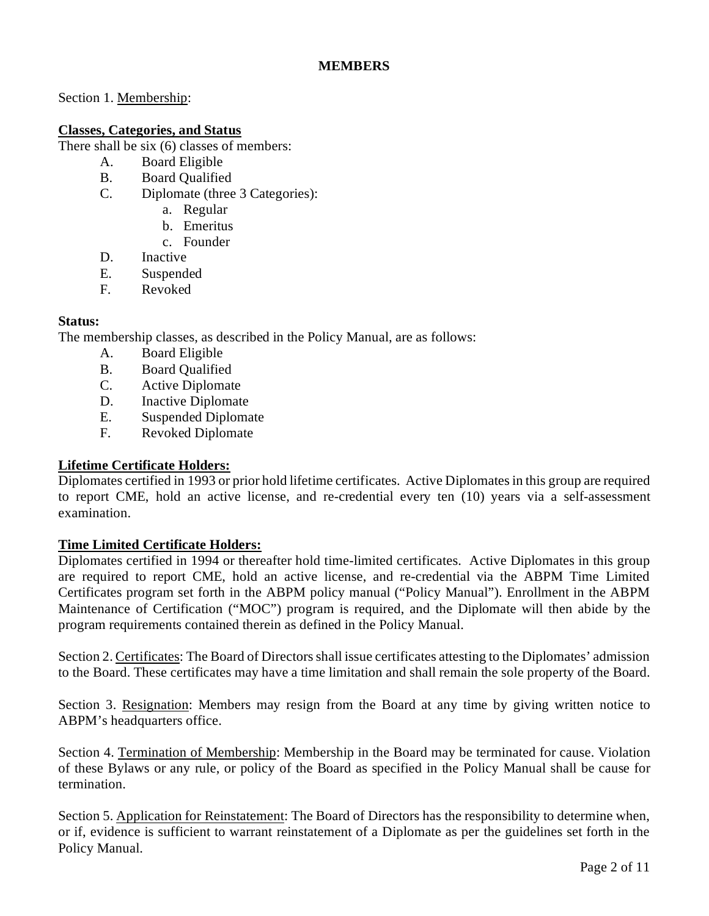# **MEMBERS**

Section 1. Membership:

# **Classes, Categories, and Status**

There shall be six (6) classes of members:

- A. Board Eligible
- B. Board Qualified
- C. Diplomate (three 3 Categories):
	- a. Regular
	- b. Emeritus
	- c. Founder
- D. Inactive
- E. Suspended
- F. Revoked

# **Status:**

The membership classes, as described in the Policy Manual, are as follows:

- A. Board Eligible
- B. Board Qualified
- C. Active Diplomate
- D. Inactive Diplomate
- E. Suspended Diplomate
- F. Revoked Diplomate

# **Lifetime Certificate Holders:**

Diplomates certified in 1993 or prior hold lifetime certificates. Active Diplomates in this group are required to report CME, hold an active license, and re-credential every ten (10) years via a self-assessment examination.

# **Time Limited Certificate Holders:**

Diplomates certified in 1994 or thereafter hold time-limited certificates. Active Diplomates in this group are required to report CME, hold an active license, and re-credential via the ABPM Time Limited Certificates program set forth in the ABPM policy manual ("Policy Manual"). Enrollment in the ABPM Maintenance of Certification ("MOC") program is required, and the Diplomate will then abide by the program requirements contained therein as defined in the Policy Manual.

Section 2. Certificates: The Board of Directors shall issue certificates attesting to the Diplomates' admission to the Board. These certificates may have a time limitation and shall remain the sole property of the Board.

Section 3. Resignation: Members may resign from the Board at any time by giving written notice to ABPM's headquarters office.

Section 4. Termination of Membership: Membership in the Board may be terminated for cause. Violation of these Bylaws or any rule, or policy of the Board as specified in the Policy Manual shall be cause for termination.

Section 5. Application for Reinstatement: The Board of Directors has the responsibility to determine when, or if, evidence is sufficient to warrant reinstatement of a Diplomate as per the guidelines set forth in the Policy Manual.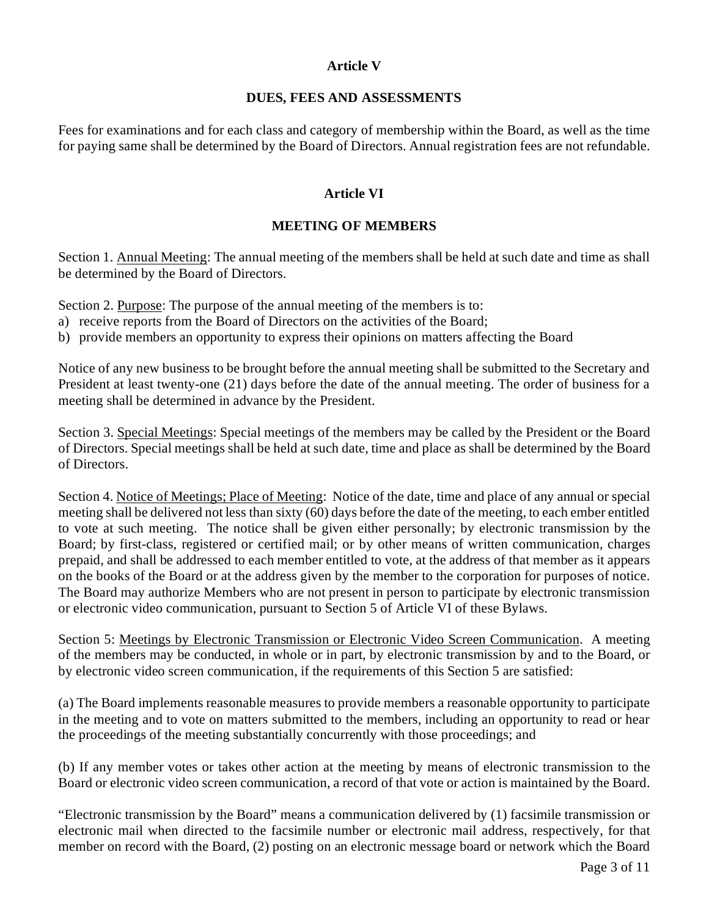# **Article V**

### **DUES, FEES AND ASSESSMENTS**

Fees for examinations and for each class and category of membership within the Board, as well as the time for paying same shall be determined by the Board of Directors. Annual registration fees are not refundable.

# **Article VI**

# **MEETING OF MEMBERS**

Section 1. Annual Meeting: The annual meeting of the members shall be held at such date and time as shall be determined by the Board of Directors.

Section 2. Purpose: The purpose of the annual meeting of the members is to:

- a) receive reports from the Board of Directors on the activities of the Board;
- b) provide members an opportunity to express their opinions on matters affecting the Board

Notice of any new business to be brought before the annual meeting shall be submitted to the Secretary and President at least twenty-one (21) days before the date of the annual meeting. The order of business for a meeting shall be determined in advance by the President.

Section 3. Special Meetings: Special meetings of the members may be called by the President or the Board of Directors. Special meetings shall be held at such date, time and place as shall be determined by the Board of Directors.

Section 4. Notice of Meetings; Place of Meeting: Notice of the date, time and place of any annual or special meeting shall be delivered not less than sixty (60) days before the date of the meeting, to each ember entitled to vote at such meeting.The notice shall be given either personally; by electronic transmission by the Board; by first-class, registered or certified mail; or by other means of written communication, charges prepaid, and shall be addressed to each member entitled to vote, at the address of that member as it appears on the books of the Board or at the address given by the member to the corporation for purposes of notice. The Board may authorize Members who are not present in person to participate by electronic transmission or electronic video communication, pursuant to Section 5 of Article VI of these Bylaws.

Section 5: Meetings by Electronic Transmission or Electronic Video Screen Communication. A meeting of the members may be conducted, in whole or in part, by electronic transmission by and to the Board, or by electronic video screen communication, if the requirements of this Section 5 are satisfied:

(a) The Board implements reasonable measures to provide members a reasonable opportunity to participate in the meeting and to vote on matters submitted to the members, including an opportunity to read or hear the proceedings of the meeting substantially concurrently with those proceedings; and

(b) If any member votes or takes other action at the meeting by means of electronic transmission to the Board or electronic video screen communication, a record of that vote or action is maintained by the Board.

"Electronic transmission by the Board" means a communication delivered by (1) facsimile transmission or electronic mail when directed to the facsimile number or electronic mail address, respectively, for that member on record with the Board, (2) posting on an electronic message board or network which the Board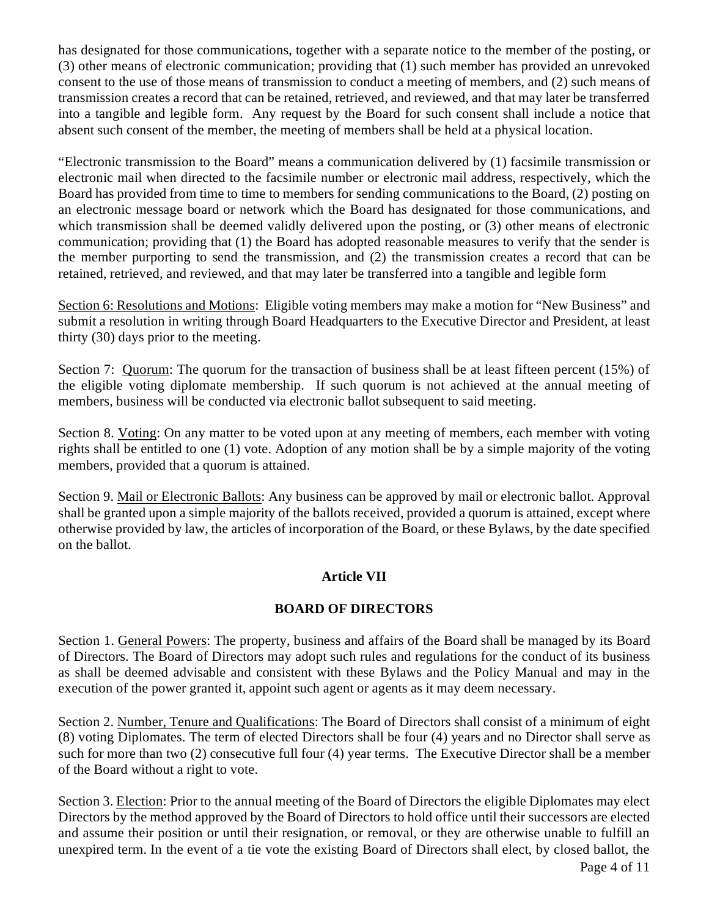has designated for those communications, together with a separate notice to the member of the posting, or (3) other means of electronic communication; providing that (1) such member has provided an unrevoked consent to the use of those means of transmission to conduct a meeting of members, and (2) such means of transmission creates a record that can be retained, retrieved, and reviewed, and that may later be transferred into a tangible and legible form. Any request by the Board for such consent shall include a notice that absent such consent of the member, the meeting of members shall be held at a physical location.

"Electronic transmission to the Board" means a communication delivered by (1) facsimile transmission or electronic mail when directed to the facsimile number or electronic mail address, respectively, which the Board has provided from time to time to members for sending communications to the Board, (2) posting on an electronic message board or network which the Board has designated for those communications, and which transmission shall be deemed validly delivered upon the posting, or (3) other means of electronic communication; providing that (1) the Board has adopted reasonable measures to verify that the sender is the member purporting to send the transmission, and (2) the transmission creates a record that can be retained, retrieved, and reviewed, and that may later be transferred into a tangible and legible form

Section 6: Resolutions and Motions: Eligible voting members may make a motion for "New Business" and submit a resolution in writing through Board Headquarters to the Executive Director and President, at least thirty (30) days prior to the meeting.

Section 7: Quorum: The quorum for the transaction of business shall be at least fifteen percent (15%) of the eligible voting diplomate membership. If such quorum is not achieved at the annual meeting of members, business will be conducted via electronic ballot subsequent to said meeting.

Section 8. Voting: On any matter to be voted upon at any meeting of members, each member with voting rights shall be entitled to one (1) vote. Adoption of any motion shall be by a simple majority of the voting members, provided that a quorum is attained.

Section 9. Mail or Electronic Ballots: Any business can be approved by mail or electronic ballot. Approval shall be granted upon a simple majority of the ballots received, provided a quorum is attained, except where otherwise provided by law, the articles of incorporation of the Board, or these Bylaws, by the date specified on the ballot.

# **Article VII**

# **BOARD OF DIRECTORS**

Section 1. General Powers: The property, business and affairs of the Board shall be managed by its Board of Directors. The Board of Directors may adopt such rules and regulations for the conduct of its business as shall be deemed advisable and consistent with these Bylaws and the Policy Manual and may in the execution of the power granted it, appoint such agent or agents as it may deem necessary.

Section 2. Number, Tenure and Qualifications: The Board of Directors shall consist of a minimum of eight (8) voting Diplomates. The term of elected Directors shall be four (4) years and no Director shall serve as such for more than two (2) consecutive full four (4) year terms. The Executive Director shall be a member of the Board without a right to vote.

Section 3. Election: Prior to the annual meeting of the Board of Directors the eligible Diplomates may elect Directors by the method approved by the Board of Directors to hold office until their successors are elected and assume their position or until their resignation, or removal, or they are otherwise unable to fulfill an unexpired term. In the event of a tie vote the existing Board of Directors shall elect, by closed ballot, the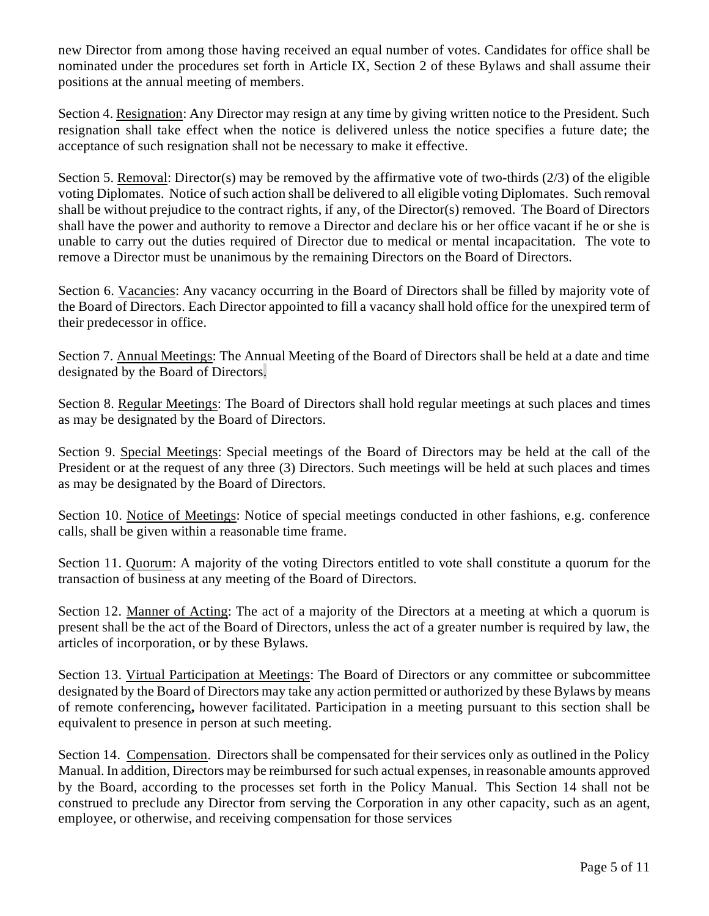new Director from among those having received an equal number of votes. Candidates for office shall be nominated under the procedures set forth in Article IX, Section 2 of these Bylaws and shall assume their positions at the annual meeting of members.

Section 4. Resignation: Any Director may resign at any time by giving written notice to the President. Such resignation shall take effect when the notice is delivered unless the notice specifies a future date; the acceptance of such resignation shall not be necessary to make it effective.

Section 5. Removal: Director(s) may be removed by the affirmative vote of two-thirds (2/3) of the eligible voting Diplomates. Notice of such action shall be delivered to all eligible voting Diplomates. Such removal shall be without prejudice to the contract rights, if any, of the Director(s) removed. The Board of Directors shall have the power and authority to remove a Director and declare his or her office vacant if he or she is unable to carry out the duties required of Director due to medical or mental incapacitation. The vote to remove a Director must be unanimous by the remaining Directors on the Board of Directors.

Section 6. Vacancies: Any vacancy occurring in the Board of Directors shall be filled by majority vote of the Board of Directors. Each Director appointed to fill a vacancy shall hold office for the unexpired term of their predecessor in office.

Section 7. Annual Meetings: The Annual Meeting of the Board of Directors shall be held at a date and time designated by the Board of Directors.

Section 8. Regular Meetings: The Board of Directors shall hold regular meetings at such places and times as may be designated by the Board of Directors.

Section 9. Special Meetings: Special meetings of the Board of Directors may be held at the call of the President or at the request of any three (3) Directors. Such meetings will be held at such places and times as may be designated by the Board of Directors.

Section 10. Notice of Meetings: Notice of special meetings conducted in other fashions, e.g. conference calls, shall be given within a reasonable time frame.

Section 11. Quorum: A majority of the voting Directors entitled to vote shall constitute a quorum for the transaction of business at any meeting of the Board of Directors.

Section 12. Manner of Acting: The act of a majority of the Directors at a meeting at which a quorum is present shall be the act of the Board of Directors, unless the act of a greater number is required by law, the articles of incorporation, or by these Bylaws.

Section 13. Virtual Participation at Meetings: The Board of Directors or any committee or subcommittee designated by the Board of Directors may take any action permitted or authorized by these Bylaws by means of remote conferencing**,** however facilitated. Participation in a meeting pursuant to this section shall be equivalent to presence in person at such meeting.

Section 14. Compensation. Directors shall be compensated for their services only as outlined in the Policy Manual. In addition, Directors may be reimbursed for such actual expenses, in reasonable amounts approved by the Board, according to the processes set forth in the Policy Manual. This Section 14 shall not be construed to preclude any Director from serving the Corporation in any other capacity, such as an agent, employee, or otherwise, and receiving compensation for those services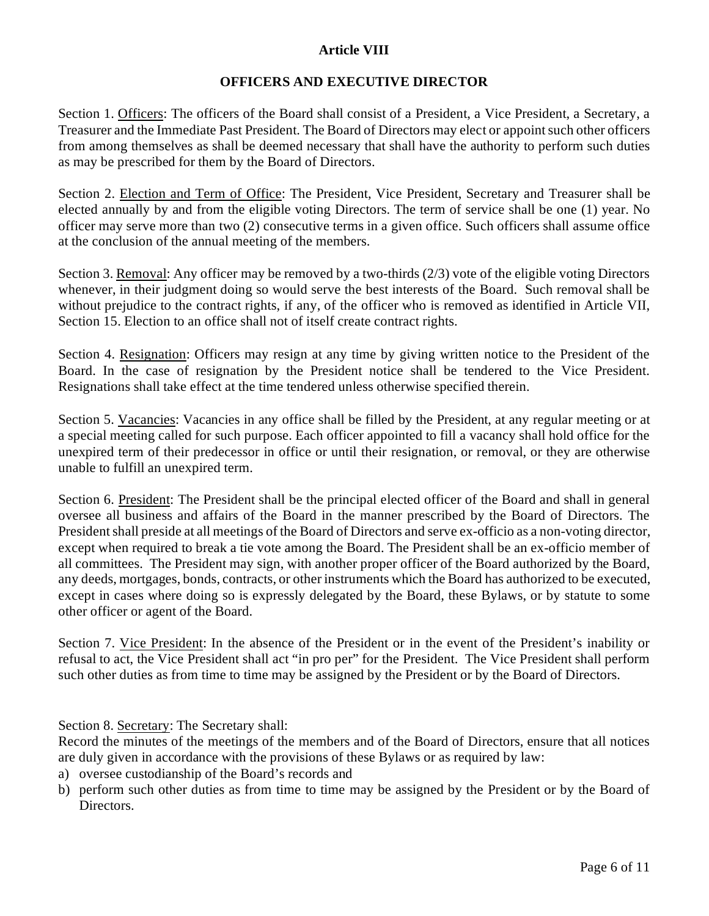# **Article VIII**

# **OFFICERS AND EXECUTIVE DIRECTOR**

Section 1. Officers: The officers of the Board shall consist of a President, a Vice President, a Secretary, a Treasurer and the Immediate Past President. The Board of Directors may elect or appoint such other officers from among themselves as shall be deemed necessary that shall have the authority to perform such duties as may be prescribed for them by the Board of Directors.

Section 2. Election and Term of Office: The President, Vice President, Secretary and Treasurer shall be elected annually by and from the eligible voting Directors. The term of service shall be one (1) year. No officer may serve more than two (2) consecutive terms in a given office. Such officers shall assume office at the conclusion of the annual meeting of the members.

Section 3. Removal: Any officer may be removed by a two-thirds (2/3) vote of the eligible voting Directors whenever, in their judgment doing so would serve the best interests of the Board. Such removal shall be without prejudice to the contract rights, if any, of the officer who is removed as identified in Article VII, Section 15. Election to an office shall not of itself create contract rights.

Section 4. Resignation: Officers may resign at any time by giving written notice to the President of the Board. In the case of resignation by the President notice shall be tendered to the Vice President. Resignations shall take effect at the time tendered unless otherwise specified therein.

Section 5. Vacancies: Vacancies in any office shall be filled by the President, at any regular meeting or at a special meeting called for such purpose. Each officer appointed to fill a vacancy shall hold office for the unexpired term of their predecessor in office or until their resignation, or removal, or they are otherwise unable to fulfill an unexpired term.

Section 6. President: The President shall be the principal elected officer of the Board and shall in general oversee all business and affairs of the Board in the manner prescribed by the Board of Directors. The President shall preside at all meetings of the Board of Directors and serve ex-officio as a non-voting director, except when required to break a tie vote among the Board. The President shall be an ex-officio member of all committees. The President may sign, with another proper officer of the Board authorized by the Board, any deeds, mortgages, bonds, contracts, or other instruments which the Board has authorized to be executed, except in cases where doing so is expressly delegated by the Board, these Bylaws, or by statute to some other officer or agent of the Board.

Section 7. Vice President: In the absence of the President or in the event of the President's inability or refusal to act, the Vice President shall act "in pro per" for the President. The Vice President shall perform such other duties as from time to time may be assigned by the President or by the Board of Directors.

Section 8. Secretary: The Secretary shall:

Record the minutes of the meetings of the members and of the Board of Directors, ensure that all notices are duly given in accordance with the provisions of these Bylaws or as required by law:

- a) oversee custodianship of the Board's records and
- b) perform such other duties as from time to time may be assigned by the President or by the Board of Directors.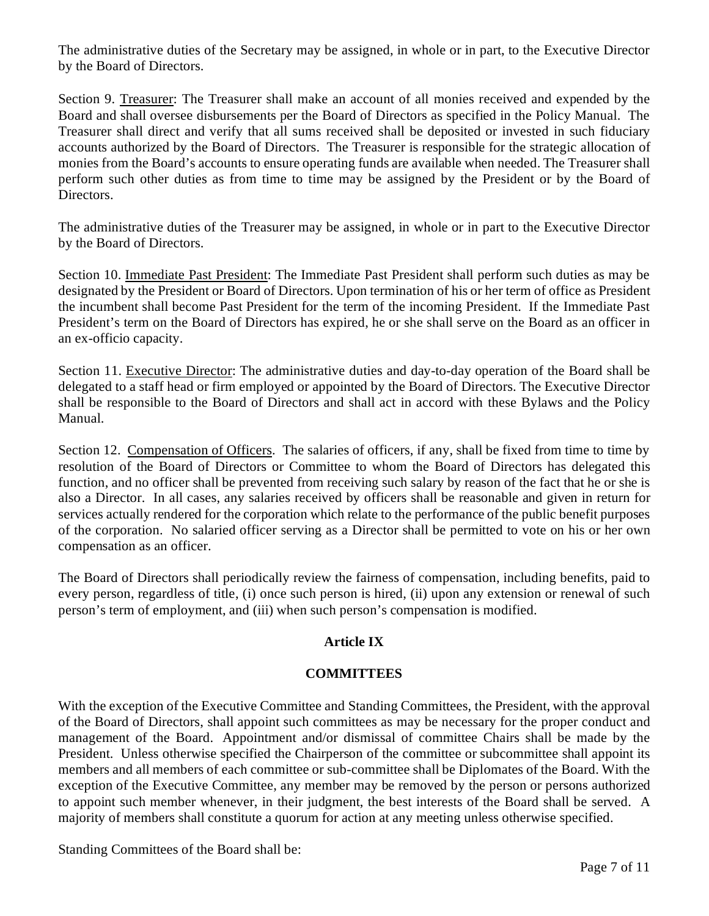The administrative duties of the Secretary may be assigned, in whole or in part, to the Executive Director by the Board of Directors.

Section 9. Treasurer: The Treasurer shall make an account of all monies received and expended by the Board and shall oversee disbursements per the Board of Directors as specified in the Policy Manual. The Treasurer shall direct and verify that all sums received shall be deposited or invested in such fiduciary accounts authorized by the Board of Directors. The Treasurer is responsible for the strategic allocation of monies from the Board's accounts to ensure operating funds are available when needed. The Treasurer shall perform such other duties as from time to time may be assigned by the President or by the Board of Directors.

The administrative duties of the Treasurer may be assigned, in whole or in part to the Executive Director by the Board of Directors.

Section 10. Immediate Past President: The Immediate Past President shall perform such duties as may be designated by the President or Board of Directors. Upon termination of his or her term of office as President the incumbent shall become Past President for the term of the incoming President. If the Immediate Past President's term on the Board of Directors has expired, he or she shall serve on the Board as an officer in an ex-officio capacity.

Section 11. Executive Director: The administrative duties and day-to-day operation of the Board shall be delegated to a staff head or firm employed or appointed by the Board of Directors. The Executive Director shall be responsible to the Board of Directors and shall act in accord with these Bylaws and the Policy Manual.

Section 12. Compensation of Officers. The salaries of officers, if any, shall be fixed from time to time by resolution of the Board of Directors or Committee to whom the Board of Directors has delegated this function, and no officer shall be prevented from receiving such salary by reason of the fact that he or she is also a Director. In all cases, any salaries received by officers shall be reasonable and given in return for services actually rendered for the corporation which relate to the performance of the public benefit purposes of the corporation. No salaried officer serving as a Director shall be permitted to vote on his or her own compensation as an officer.

The Board of Directors shall periodically review the fairness of compensation, including benefits, paid to every person, regardless of title, (i) once such person is hired, (ii) upon any extension or renewal of such person's term of employment, and (iii) when such person's compensation is modified.

# **Article IX**

# **COMMITTEES**

With the exception of the Executive Committee and Standing Committees, the President, with the approval of the Board of Directors, shall appoint such committees as may be necessary for the proper conduct and management of the Board. Appointment and/or dismissal of committee Chairs shall be made by the President. Unless otherwise specified the Chairperson of the committee or subcommittee shall appoint its members and all members of each committee or sub-committee shall be Diplomates of the Board. With the exception of the Executive Committee, any member may be removed by the person or persons authorized to appoint such member whenever, in their judgment, the best interests of the Board shall be served. A majority of members shall constitute a quorum for action at any meeting unless otherwise specified.

Standing Committees of the Board shall be: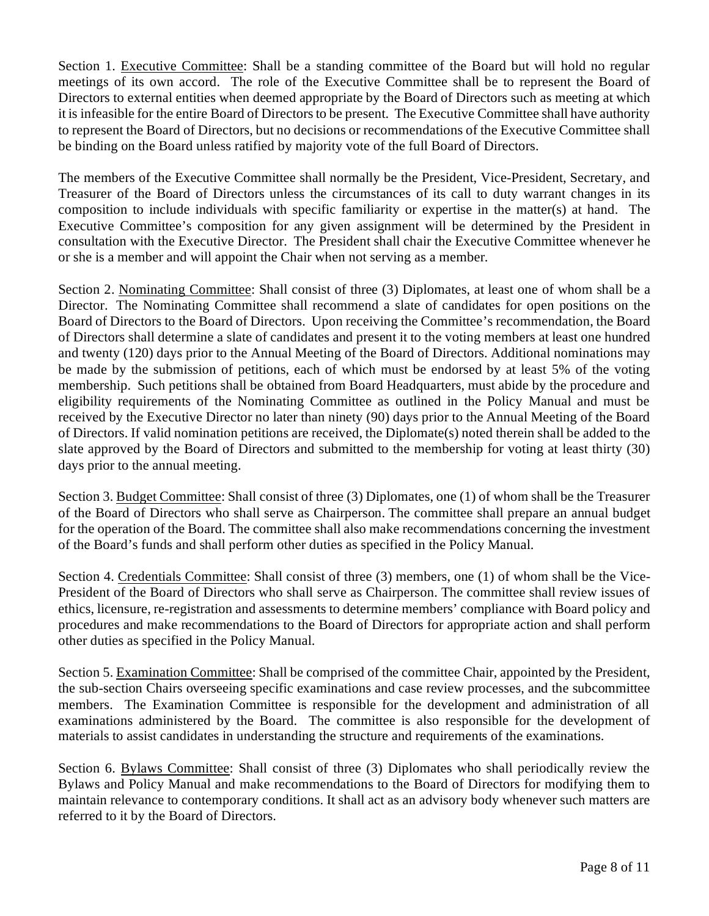Section 1. Executive Committee: Shall be a standing committee of the Board but will hold no regular meetings of its own accord. The role of the Executive Committee shall be to represent the Board of Directors to external entities when deemed appropriate by the Board of Directors such as meeting at which it is infeasible for the entire Board of Directors to be present. The Executive Committee shall have authority to represent the Board of Directors, but no decisions or recommendations of the Executive Committee shall be binding on the Board unless ratified by majority vote of the full Board of Directors.

The members of the Executive Committee shall normally be the President, Vice-President, Secretary, and Treasurer of the Board of Directors unless the circumstances of its call to duty warrant changes in its composition to include individuals with specific familiarity or expertise in the matter(s) at hand. The Executive Committee's composition for any given assignment will be determined by the President in consultation with the Executive Director. The President shall chair the Executive Committee whenever he or she is a member and will appoint the Chair when not serving as a member.

Section 2. Nominating Committee: Shall consist of three (3) Diplomates, at least one of whom shall be a Director. The Nominating Committee shall recommend a slate of candidates for open positions on the Board of Directors to the Board of Directors. Upon receiving the Committee's recommendation, the Board of Directors shall determine a slate of candidates and present it to the voting members at least one hundred and twenty (120) days prior to the Annual Meeting of the Board of Directors. Additional nominations may be made by the submission of petitions, each of which must be endorsed by at least 5% of the voting membership. Such petitions shall be obtained from Board Headquarters, must abide by the procedure and eligibility requirements of the Nominating Committee as outlined in the Policy Manual and must be received by the Executive Director no later than ninety (90) days prior to the Annual Meeting of the Board of Directors. If valid nomination petitions are received, the Diplomate(s) noted therein shall be added to the slate approved by the Board of Directors and submitted to the membership for voting at least thirty (30) days prior to the annual meeting.

Section 3. Budget Committee: Shall consist of three (3) Diplomates, one (1) of whom shall be the Treasurer of the Board of Directors who shall serve as Chairperson. The committee shall prepare an annual budget for the operation of the Board. The committee shall also make recommendations concerning the investment of the Board's funds and shall perform other duties as specified in the Policy Manual.

Section 4. Credentials Committee: Shall consist of three (3) members, one (1) of whom shall be the Vice-President of the Board of Directors who shall serve as Chairperson. The committee shall review issues of ethics, licensure, re-registration and assessments to determine members' compliance with Board policy and procedures and make recommendations to the Board of Directors for appropriate action and shall perform other duties as specified in the Policy Manual.

Section 5. Examination Committee: Shall be comprised of the committee Chair, appointed by the President, the sub-section Chairs overseeing specific examinations and case review processes, and the subcommittee members. The Examination Committee is responsible for the development and administration of all examinations administered by the Board. The committee is also responsible for the development of materials to assist candidates in understanding the structure and requirements of the examinations.

Section 6. Bylaws Committee: Shall consist of three (3) Diplomates who shall periodically review the Bylaws and Policy Manual and make recommendations to the Board of Directors for modifying them to maintain relevance to contemporary conditions. It shall act as an advisory body whenever such matters are referred to it by the Board of Directors.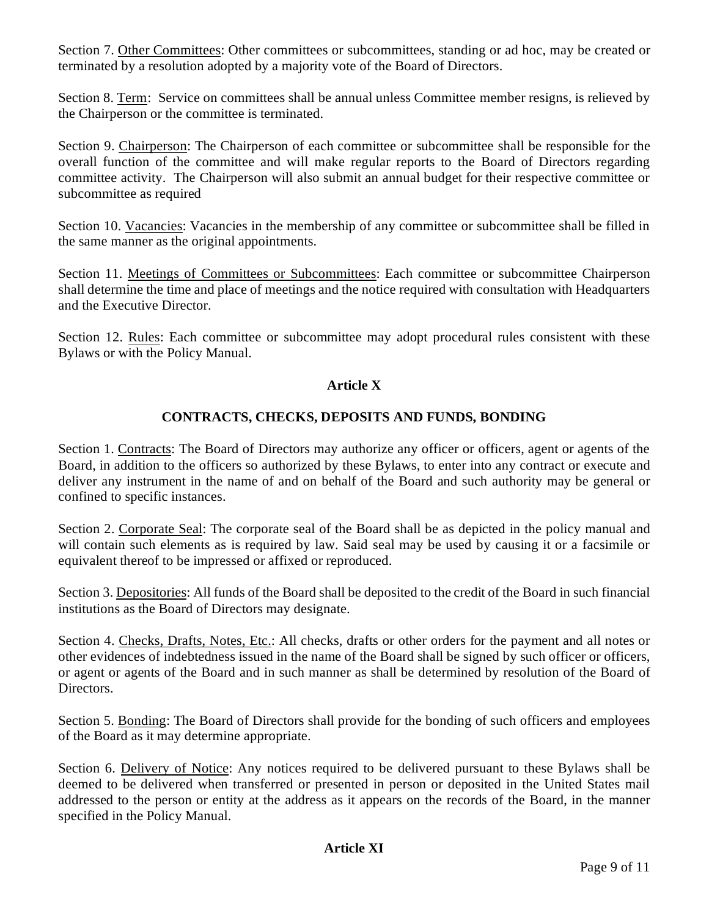Section 7. Other Committees: Other committees or subcommittees, standing or ad hoc, may be created or terminated by a resolution adopted by a majority vote of the Board of Directors.

Section 8. Term: Service on committees shall be annual unless Committee member resigns, is relieved by the Chairperson or the committee is terminated.

Section 9. Chairperson: The Chairperson of each committee or subcommittee shall be responsible for the overall function of the committee and will make regular reports to the Board of Directors regarding committee activity. The Chairperson will also submit an annual budget for their respective committee or subcommittee as required

Section 10. Vacancies: Vacancies in the membership of any committee or subcommittee shall be filled in the same manner as the original appointments.

Section 11. Meetings of Committees or Subcommittees: Each committee or subcommittee Chairperson shall determine the time and place of meetings and the notice required with consultation with Headquarters and the Executive Director.

Section 12. Rules: Each committee or subcommittee may adopt procedural rules consistent with these Bylaws or with the Policy Manual.

# **Article X**

# **CONTRACTS, CHECKS, DEPOSITS AND FUNDS, BONDING**

Section 1. Contracts: The Board of Directors may authorize any officer or officers, agent or agents of the Board, in addition to the officers so authorized by these Bylaws, to enter into any contract or execute and deliver any instrument in the name of and on behalf of the Board and such authority may be general or confined to specific instances.

Section 2. Corporate Seal: The corporate seal of the Board shall be as depicted in the policy manual and will contain such elements as is required by law. Said seal may be used by causing it or a facsimile or equivalent thereof to be impressed or affixed or reproduced.

Section 3. Depositories: All funds of the Board shall be deposited to the credit of the Board in such financial institutions as the Board of Directors may designate.

Section 4. Checks, Drafts, Notes, Etc.: All checks, drafts or other orders for the payment and all notes or other evidences of indebtedness issued in the name of the Board shall be signed by such officer or officers, or agent or agents of the Board and in such manner as shall be determined by resolution of the Board of Directors.

Section 5. Bonding: The Board of Directors shall provide for the bonding of such officers and employees of the Board as it may determine appropriate.

Section 6. Delivery of Notice: Any notices required to be delivered pursuant to these Bylaws shall be deemed to be delivered when transferred or presented in person or deposited in the United States mail addressed to the person or entity at the address as it appears on the records of the Board, in the manner specified in the Policy Manual.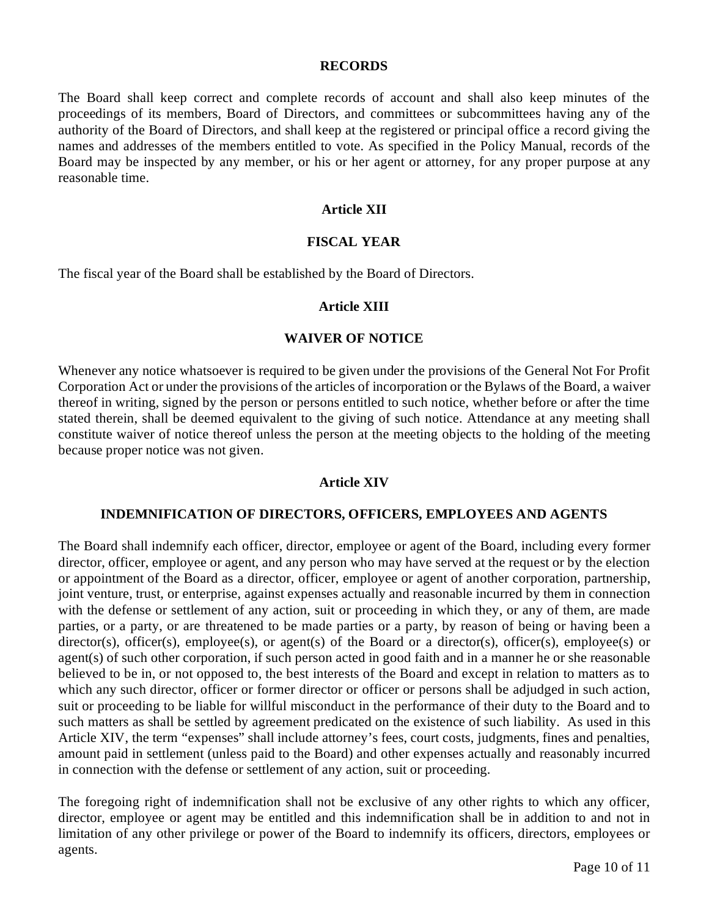#### **RECORDS**

The Board shall keep correct and complete records of account and shall also keep minutes of the proceedings of its members, Board of Directors, and committees or subcommittees having any of the authority of the Board of Directors, and shall keep at the registered or principal office a record giving the names and addresses of the members entitled to vote. As specified in the Policy Manual, records of the Board may be inspected by any member, or his or her agent or attorney, for any proper purpose at any reasonable time.

# **Article XII**

#### **FISCAL YEAR**

The fiscal year of the Board shall be established by the Board of Directors.

### **Article XIII**

#### **WAIVER OF NOTICE**

Whenever any notice whatsoever is required to be given under the provisions of the General Not For Profit Corporation Act or under the provisions of the articles of incorporation or the Bylaws of the Board, a waiver thereof in writing, signed by the person or persons entitled to such notice, whether before or after the time stated therein, shall be deemed equivalent to the giving of such notice. Attendance at any meeting shall constitute waiver of notice thereof unless the person at the meeting objects to the holding of the meeting because proper notice was not given.

#### **Article XIV**

#### **INDEMNIFICATION OF DIRECTORS, OFFICERS, EMPLOYEES AND AGENTS**

The Board shall indemnify each officer, director, employee or agent of the Board, including every former director, officer, employee or agent, and any person who may have served at the request or by the election or appointment of the Board as a director, officer, employee or agent of another corporation, partnership, joint venture, trust, or enterprise, against expenses actually and reasonable incurred by them in connection with the defense or settlement of any action, suit or proceeding in which they, or any of them, are made parties, or a party, or are threatened to be made parties or a party, by reason of being or having been a director(s), officer(s), employee(s), or agent(s) of the Board or a director(s), officer(s), employee(s) or agent(s) of such other corporation, if such person acted in good faith and in a manner he or she reasonable believed to be in, or not opposed to, the best interests of the Board and except in relation to matters as to which any such director, officer or former director or officer or persons shall be adjudged in such action, suit or proceeding to be liable for willful misconduct in the performance of their duty to the Board and to such matters as shall be settled by agreement predicated on the existence of such liability. As used in this Article XIV, the term "expenses" shall include attorney's fees, court costs, judgments, fines and penalties, amount paid in settlement (unless paid to the Board) and other expenses actually and reasonably incurred in connection with the defense or settlement of any action, suit or proceeding.

The foregoing right of indemnification shall not be exclusive of any other rights to which any officer, director, employee or agent may be entitled and this indemnification shall be in addition to and not in limitation of any other privilege or power of the Board to indemnify its officers, directors, employees or agents.